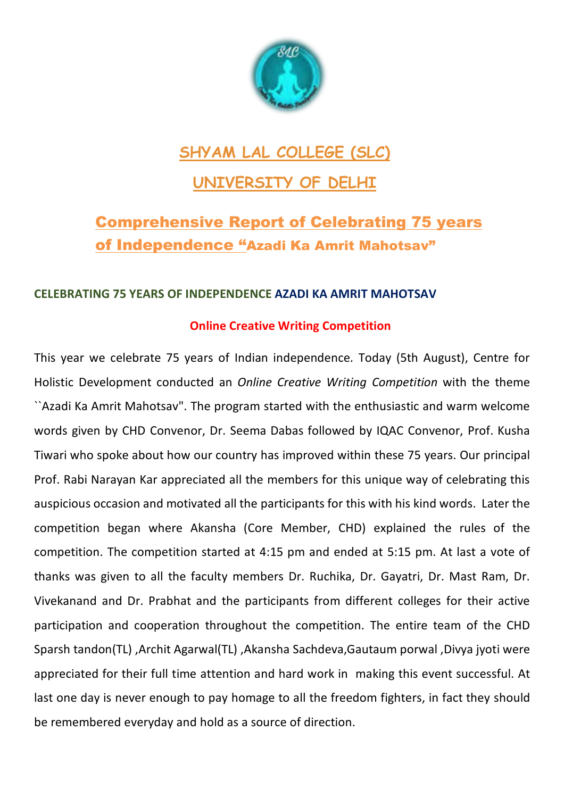

# **SHYAM LAL COLLEGE (SLC)**

## **UNIVERSITY OF DELHI**

## Comprehensive Report of Celebrating 75 years of Independence "Azadi Ka Amrit Mahotsav"

### **CELEBRATING 75 YEARS OF INDEPENDENCE AZADI KA AMRIT MAHOTSAV**

### **Online Creative Writing Competition**

This year we celebrate 75 years of Indian independence. Today (5th August), Centre for Holistic Development conducted an *Online Creative Writing Competition* with the theme ``Azadi Ka Amrit Mahotsav". The program started with the enthusiastic and warm welcome words given by CHD Convenor, Dr. Seema Dabas followed by IQAC Convenor, Prof. Kusha Tiwari who spoke about how our country has improved within these 75 years. Our principal Prof. Rabi Narayan Kar appreciated all the members for this unique way of celebrating this auspicious occasion and motivated all the participants for this with his kind words. Later the competition began where Akansha (Core Member, CHD) explained the rules of the competition. The competition started at 4:15 pm and ended at 5:15 pm. At last a vote of thanks was given to all the faculty members Dr. Ruchika, Dr. Gayatri, Dr. Mast Ram, Dr. Vivekanand and Dr. Prabhat and the participants from different colleges for their active participation and cooperation throughout the competition. The entire team of the CHD Sparsh tandon(TL) ,Archit Agarwal(TL) ,Akansha Sachdeva,Gautaum porwal ,Divya jyoti were appreciated for their full time attention and hard work in making this event successful. At last one day is never enough to pay homage to all the freedom fighters, in fact they should be remembered everyday and hold as a source of direction.